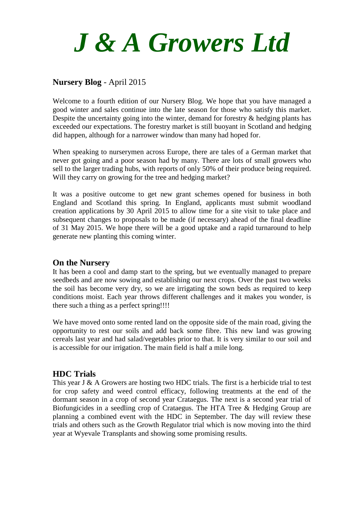

# **Nursery Blog** - April 2015

Welcome to a fourth edition of our Nursery Blog. We hope that you have managed a good winter and sales continue into the late season for those who satisfy this market. Despite the uncertainty going into the winter, demand for forestry & hedging plants has exceeded our expectations. The forestry market is still buoyant in Scotland and hedging did happen, although for a narrower window than many had hoped for.

When speaking to nurserymen across Europe, there are tales of a German market that never got going and a poor season had by many. There are lots of small growers who sell to the larger trading hubs, with reports of only 50% of their produce being required. Will they carry on growing for the tree and hedging market?

It was a positive outcome to get new grant schemes opened for business in both England and Scotland this spring. In England, applicants must submit woodland creation applications by 30 April 2015 to allow time for a site visit to take place and subsequent changes to proposals to be made (if necessary) ahead of the final deadline of 31 May 2015. We hope there will be a good uptake and a rapid turnaround to help generate new planting this coming winter.

#### **On the Nursery**

It has been a cool and damp start to the spring, but we eventually managed to prepare seedbeds and are now sowing and establishing our next crops. Over the past two weeks the soil has become very dry, so we are irrigating the sown beds as required to keep conditions moist. Each year throws different challenges and it makes you wonder, is there such a thing as a perfect spring!!!!

We have moved onto some rented land on the opposite side of the main road, giving the opportunity to rest our soils and add back some fibre. This new land was growing cereals last year and had salad/vegetables prior to that. It is very similar to our soil and is accessible for our irrigation. The main field is half a mile long.

### **HDC Trials**

This year J & A Growers are hosting two HDC trials. The first is a herbicide trial to test for crop safety and weed control efficacy, following treatments at the end of the dormant season in a crop of second year Crataegus. The next is a second year trial of Biofungicides in a seedling crop of Crataegus. The HTA Tree & Hedging Group are planning a combined event with the HDC in September. The day will review these trials and others such as the Growth Regulator trial which is now moving into the third year at Wyevale Transplants and showing some promising results.